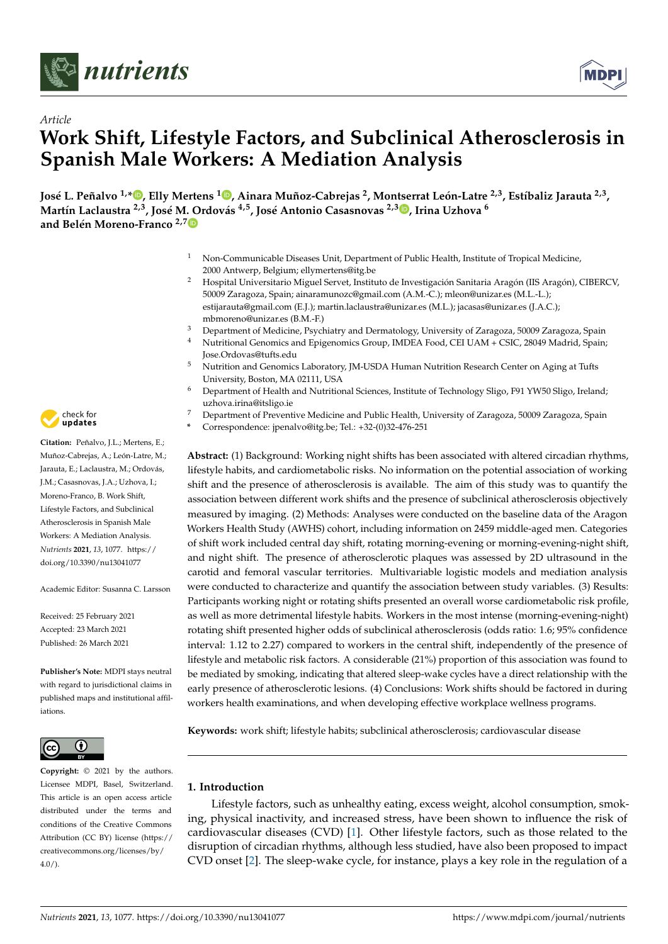



# *Article* **Work Shift, Lifestyle Factors, and Subclinical Atherosclerosis in Spanish Male Workers: A Mediation Analysis**

José L. Peñalvo <sup>1,</sup>[\\*](https://orcid.org/0000-0003-0096-6238)®[,](https://orcid.org/0000-0003-4957-4235) Elly Mertens <sup>1</sup>®, Ainara Muñoz-Cabrejas <sup>2</sup>, Montserrat León-Latre <sup>2,3</sup>, Estíbaliz Jarauta <sup>2,3</sup>, **Martín Laclaustra 2,3, José M. Ordovás 4,5, José Antonio Casasnovas 2,3 [,](https://orcid.org/0000-0002-9887-2629) Irina Uzhova <sup>6</sup> and Belén Moreno-Franco 2,[7](https://orcid.org/0000-0003-0604-5042)**

- <sup>1</sup> Non-Communicable Diseases Unit, Department of Public Health, Institute of Tropical Medicine, 2000 Antwerp, Belgium; ellymertens@itg.be
- <sup>2</sup> Hospital Universitario Miguel Servet, Instituto de Investigación Sanitaria Aragón (IIS Aragón), CIBERCV, 50009 Zaragoza, Spain; ainaramunozc@gmail.com (A.M.-C.); mleon@unizar.es (M.L.-L.); estijarauta@gmail.com (E.J.); martin.laclaustra@unizar.es (M.L.); jacasas@unizar.es (J.A.C.); mbmoreno@unizar.es (B.M.-F.)
- <sup>3</sup> Department of Medicine, Psychiatry and Dermatology, University of Zaragoza, 50009 Zaragoza, Spain<br><sup>4</sup> Nutritional Canomics and Enigenemies Crown, IMDEA Essed, CEU UAM + CEIC 28040 Medicial Spain
- <sup>4</sup> Nutritional Genomics and Epigenomics Group, IMDEA Food, CEI UAM + CSIC, 28049 Madrid, Spain; Jose.Ordovas@tufts.edu
- <sup>5</sup> Nutrition and Genomics Laboratory, JM-USDA Human Nutrition Research Center on Aging at Tufts University, Boston, MA 02111, USA
- <sup>6</sup> Department of Health and Nutritional Sciences, Institute of Technology Sligo, F91 YW50 Sligo, Ireland; uzhova.irina@itsligo.ie
- <sup>7</sup> Department of Preventive Medicine and Public Health, University of Zaragoza, 50009 Zaragoza, Spain
	- **\*** Correspondence: jpenalvo@itg.be; Tel.: +32-(0)32-476-251

**Abstract:** (1) Background: Working night shifts has been associated with altered circadian rhythms, lifestyle habits, and cardiometabolic risks. No information on the potential association of working shift and the presence of atherosclerosis is available. The aim of this study was to quantify the association between different work shifts and the presence of subclinical atherosclerosis objectively measured by imaging. (2) Methods: Analyses were conducted on the baseline data of the Aragon Workers Health Study (AWHS) cohort, including information on 2459 middle-aged men. Categories of shift work included central day shift, rotating morning-evening or morning-evening-night shift, and night shift. The presence of atherosclerotic plaques was assessed by 2D ultrasound in the carotid and femoral vascular territories. Multivariable logistic models and mediation analysis were conducted to characterize and quantify the association between study variables. (3) Results: Participants working night or rotating shifts presented an overall worse cardiometabolic risk profile, as well as more detrimental lifestyle habits. Workers in the most intense (morning-evening-night) rotating shift presented higher odds of subclinical atherosclerosis (odds ratio: 1.6; 95% confidence interval: 1.12 to 2.27) compared to workers in the central shift, independently of the presence of lifestyle and metabolic risk factors. A considerable (21%) proportion of this association was found to be mediated by smoking, indicating that altered sleep-wake cycles have a direct relationship with the early presence of atherosclerotic lesions. (4) Conclusions: Work shifts should be factored in during workers health examinations, and when developing effective workplace wellness programs.

**Keywords:** work shift; lifestyle habits; subclinical atherosclerosis; cardiovascular disease

# **1. Introduction**

Lifestyle factors, such as unhealthy eating, excess weight, alcohol consumption, smoking, physical inactivity, and increased stress, have been shown to influence the risk of cardiovascular diseases (CVD) [\[1\]](#page-10-0). Other lifestyle factors, such as those related to the disruption of circadian rhythms, although less studied, have also been proposed to impact CVD onset [\[2\]](#page-10-1). The sleep-wake cycle, for instance, plays a key role in the regulation of a



**Citation:** Peñalvo, J.L.; Mertens, E.; Muñoz-Cabrejas, A.; León-Latre, M.; Jarauta, E.; Laclaustra, M.; Ordovás, J.M.; Casasnovas, J.A.; Uzhova, I.; Moreno-Franco, B. Work Shift, Lifestyle Factors, and Subclinical Atherosclerosis in Spanish Male Workers: A Mediation Analysis. *Nutrients* **2021**, *13*, 1077. [https://](https://doi.org/10.3390/nu13041077) [doi.org/10.3390/nu13041077](https://doi.org/10.3390/nu13041077)

Academic Editor: Susanna C. Larsson

Received: 25 February 2021 Accepted: 23 March 2021 Published: 26 March 2021

**Publisher's Note:** MDPI stays neutral with regard to jurisdictional claims in published maps and institutional affiliations.



**Copyright:** © 2021 by the authors. Licensee MDPI, Basel, Switzerland. This article is an open access article distributed under the terms and conditions of the Creative Commons Attribution (CC BY) license (https:/[/](https://creativecommons.org/licenses/by/4.0/) [creativecommons.org/licenses/by/](https://creativecommons.org/licenses/by/4.0/)  $4.0/$ ).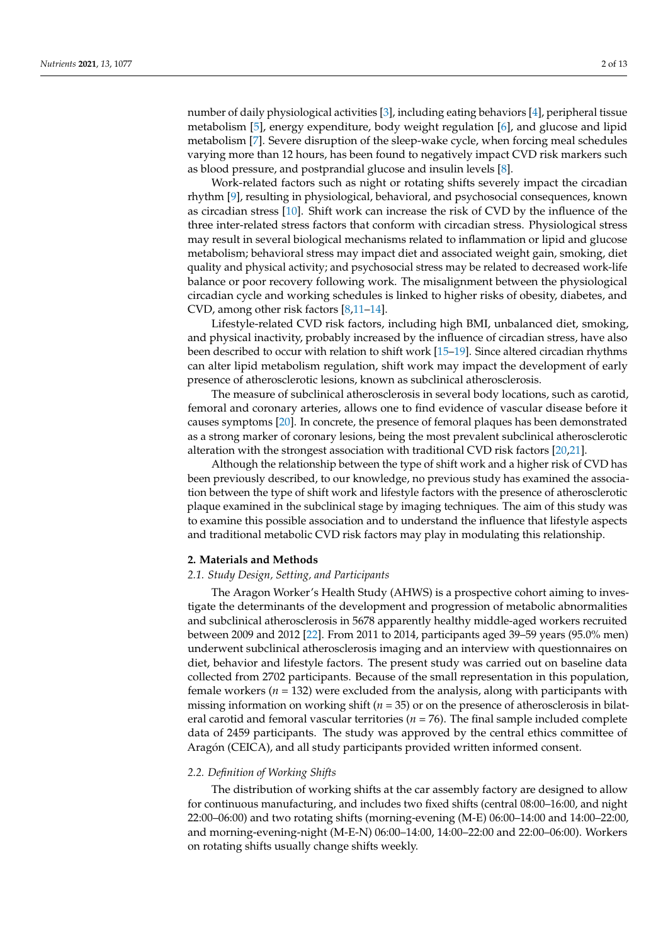number of daily physiological activities [\[3\]](#page-10-2), including eating behaviors [\[4\]](#page-10-3), peripheral tissue metabolism [\[5\]](#page-10-4), energy expenditure, body weight regulation [\[6\]](#page-10-5), and glucose and lipid metabolism [\[7\]](#page-10-6). Severe disruption of the sleep-wake cycle, when forcing meal schedules varying more than 12 hours, has been found to negatively impact CVD risk markers such as blood pressure, and postprandial glucose and insulin levels [\[8\]](#page-10-7).

Work-related factors such as night or rotating shifts severely impact the circadian rhythm [\[9\]](#page-10-8), resulting in physiological, behavioral, and psychosocial consequences, known as circadian stress [\[10\]](#page-10-9). Shift work can increase the risk of CVD by the influence of the three inter-related stress factors that conform with circadian stress. Physiological stress may result in several biological mechanisms related to inflammation or lipid and glucose metabolism; behavioral stress may impact diet and associated weight gain, smoking, diet quality and physical activity; and psychosocial stress may be related to decreased work-life balance or poor recovery following work. The misalignment between the physiological circadian cycle and working schedules is linked to higher risks of obesity, diabetes, and CVD, among other risk factors [\[8](#page-10-7)[,11–](#page-10-10)[14\]](#page-11-0).

Lifestyle-related CVD risk factors, including high BMI, unbalanced diet, smoking, and physical inactivity, probably increased by the influence of circadian stress, have also been described to occur with relation to shift work [\[15–](#page-11-1)[19\]](#page-11-2). Since altered circadian rhythms can alter lipid metabolism regulation, shift work may impact the development of early presence of atherosclerotic lesions, known as subclinical atherosclerosis.

The measure of subclinical atherosclerosis in several body locations, such as carotid, femoral and coronary arteries, allows one to find evidence of vascular disease before it causes symptoms [\[20\]](#page-11-3). In concrete, the presence of femoral plaques has been demonstrated as a strong marker of coronary lesions, being the most prevalent subclinical atherosclerotic alteration with the strongest association with traditional CVD risk factors [\[20](#page-11-3)[,21\]](#page-11-4).

Although the relationship between the type of shift work and a higher risk of CVD has been previously described, to our knowledge, no previous study has examined the association between the type of shift work and lifestyle factors with the presence of atherosclerotic plaque examined in the subclinical stage by imaging techniques. The aim of this study was to examine this possible association and to understand the influence that lifestyle aspects and traditional metabolic CVD risk factors may play in modulating this relationship.

# **2. Materials and Methods**

## *2.1. Study Design, Setting, and Participants*

The Aragon Worker's Health Study (AHWS) is a prospective cohort aiming to investigate the determinants of the development and progression of metabolic abnormalities and subclinical atherosclerosis in 5678 apparently healthy middle-aged workers recruited between 2009 and 2012 [\[22\]](#page-11-5). From 2011 to 2014, participants aged 39–59 years (95.0% men) underwent subclinical atherosclerosis imaging and an interview with questionnaires on diet, behavior and lifestyle factors. The present study was carried out on baseline data collected from 2702 participants. Because of the small representation in this population, female workers (*n* = 132) were excluded from the analysis, along with participants with missing information on working shift (*n* = 35) or on the presence of atherosclerosis in bilateral carotid and femoral vascular territories (*n* = 76). The final sample included complete data of 2459 participants. The study was approved by the central ethics committee of Aragón (CEICA), and all study participants provided written informed consent.

#### *2.2. Definition of Working Shifts*

The distribution of working shifts at the car assembly factory are designed to allow for continuous manufacturing, and includes two fixed shifts (central 08:00–16:00, and night 22:00–06:00) and two rotating shifts (morning-evening (M-E) 06:00–14:00 and 14:00–22:00, and morning-evening-night (M-E-N) 06:00–14:00, 14:00–22:00 and 22:00–06:00). Workers on rotating shifts usually change shifts weekly.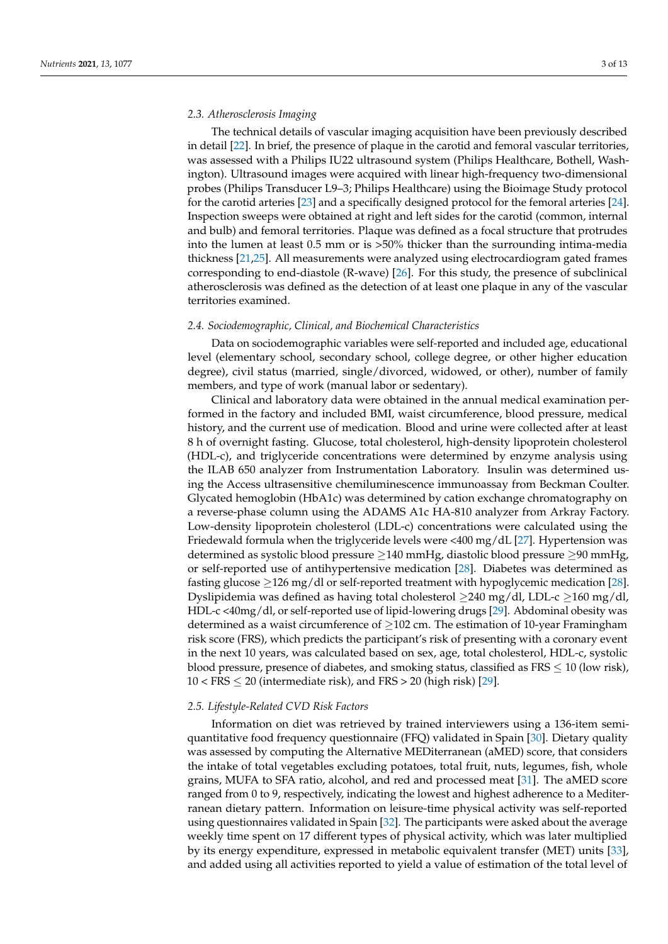## *2.3. Atherosclerosis Imaging*

The technical details of vascular imaging acquisition have been previously described in detail [\[22\]](#page-11-5). In brief, the presence of plaque in the carotid and femoral vascular territories, was assessed with a Philips IU22 ultrasound system (Philips Healthcare, Bothell, Washington). Ultrasound images were acquired with linear high-frequency two-dimensional probes (Philips Transducer L9–3; Philips Healthcare) using the Bioimage Study protocol for the carotid arteries [\[23\]](#page-11-6) and a specifically designed protocol for the femoral arteries [\[24\]](#page-11-7). Inspection sweeps were obtained at right and left sides for the carotid (common, internal and bulb) and femoral territories. Plaque was defined as a focal structure that protrudes into the lumen at least 0.5 mm or is >50% thicker than the surrounding intima-media thickness [\[21,](#page-11-4)[25\]](#page-11-8). All measurements were analyzed using electrocardiogram gated frames corresponding to end-diastole (R-wave) [\[26\]](#page-11-9). For this study, the presence of subclinical atherosclerosis was defined as the detection of at least one plaque in any of the vascular territories examined.

#### *2.4. Sociodemographic, Clinical, and Biochemical Characteristics*

Data on sociodemographic variables were self-reported and included age, educational level (elementary school, secondary school, college degree, or other higher education degree), civil status (married, single/divorced, widowed, or other), number of family members, and type of work (manual labor or sedentary).

Clinical and laboratory data were obtained in the annual medical examination performed in the factory and included BMI, waist circumference, blood pressure, medical history, and the current use of medication. Blood and urine were collected after at least 8 h of overnight fasting. Glucose, total cholesterol, high-density lipoprotein cholesterol (HDL-c), and triglyceride concentrations were determined by enzyme analysis using the ILAB 650 analyzer from Instrumentation Laboratory. Insulin was determined using the Access ultrasensitive chemiluminescence immunoassay from Beckman Coulter. Glycated hemoglobin (HbA1c) was determined by cation exchange chromatography on a reverse-phase column using the ADAMS A1c HA-810 analyzer from Arkray Factory. Low-density lipoprotein cholesterol (LDL-c) concentrations were calculated using the Friedewald formula when the triglyceride levels were <400 mg/dL [\[27\]](#page-11-10). Hypertension was determined as systolic blood pressure  $\geq$ 140 mmHg, diastolic blood pressure  $\geq$ 90 mmHg, or self-reported use of antihypertensive medication [\[28\]](#page-11-11). Diabetes was determined as fasting glucose  $\geq$ 126 mg/dl or self-reported treatment with hypoglycemic medication [\[28\]](#page-11-11). Dyslipidemia was defined as having total cholesterol  $>240$  mg/dl, LDL-c  $>160$  mg/dl, HDL-c <40mg/dl, or self-reported use of lipid-lowering drugs [\[29\]](#page-11-12). Abdominal obesity was determined as a waist circumference of  $\geq$ 102 cm. The estimation of 10-year Framingham risk score (FRS), which predicts the participant's risk of presenting with a coronary event in the next 10 years, was calculated based on sex, age, total cholesterol, HDL-c, systolic blood pressure, presence of diabetes, and smoking status, classified as  $FRS \leq 10$  (low risk),  $10 < FRS \leq 20$  (intermediate risk), and  $FRS > 20$  (high risk) [\[29\]](#page-11-12).

#### *2.5. Lifestyle-Related CVD Risk Factors*

Information on diet was retrieved by trained interviewers using a 136-item semiquantitative food frequency questionnaire (FFQ) validated in Spain [\[30\]](#page-11-13). Dietary quality was assessed by computing the Alternative MEDiterranean (aMED) score, that considers the intake of total vegetables excluding potatoes, total fruit, nuts, legumes, fish, whole grains, MUFA to SFA ratio, alcohol, and red and processed meat [\[31\]](#page-11-14). The aMED score ranged from 0 to 9, respectively, indicating the lowest and highest adherence to a Mediterranean dietary pattern. Information on leisure-time physical activity was self-reported using questionnaires validated in Spain [\[32\]](#page-11-15). The participants were asked about the average weekly time spent on 17 different types of physical activity, which was later multiplied by its energy expenditure, expressed in metabolic equivalent transfer (MET) units [\[33\]](#page-11-16), and added using all activities reported to yield a value of estimation of the total level of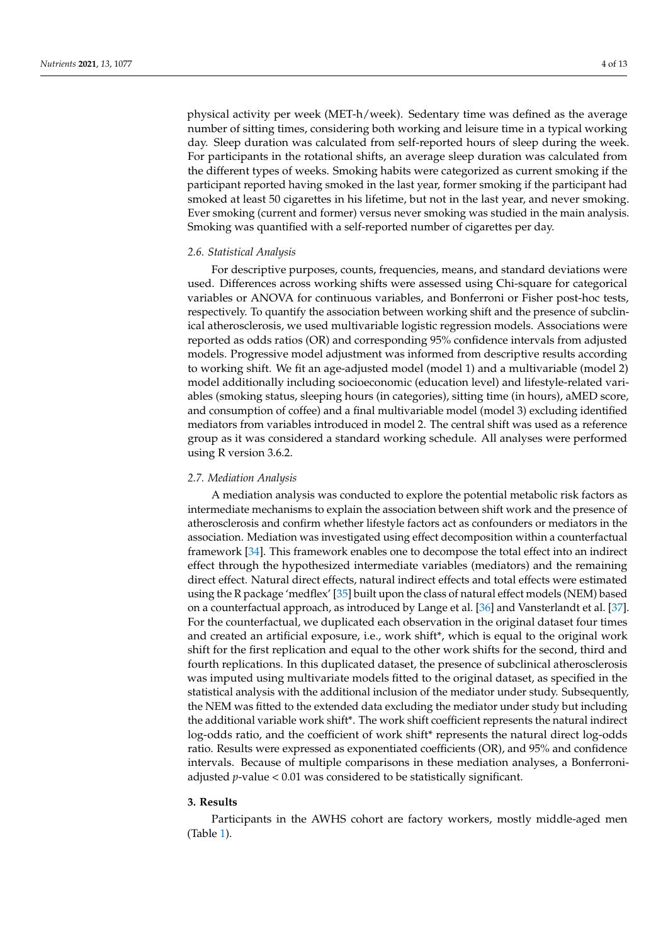physical activity per week (MET-h/week). Sedentary time was defined as the average number of sitting times, considering both working and leisure time in a typical working day. Sleep duration was calculated from self-reported hours of sleep during the week. For participants in the rotational shifts, an average sleep duration was calculated from the different types of weeks. Smoking habits were categorized as current smoking if the participant reported having smoked in the last year, former smoking if the participant had smoked at least 50 cigarettes in his lifetime, but not in the last year, and never smoking. Ever smoking (current and former) versus never smoking was studied in the main analysis. Smoking was quantified with a self-reported number of cigarettes per day.

# *2.6. Statistical Analysis*

For descriptive purposes, counts, frequencies, means, and standard deviations were used. Differences across working shifts were assessed using Chi-square for categorical variables or ANOVA for continuous variables, and Bonferroni or Fisher post-hoc tests, respectively. To quantify the association between working shift and the presence of subclinical atherosclerosis, we used multivariable logistic regression models. Associations were reported as odds ratios (OR) and corresponding 95% confidence intervals from adjusted models. Progressive model adjustment was informed from descriptive results according to working shift. We fit an age-adjusted model (model 1) and a multivariable (model 2) model additionally including socioeconomic (education level) and lifestyle-related variables (smoking status, sleeping hours (in categories), sitting time (in hours), aMED score, and consumption of coffee) and a final multivariable model (model 3) excluding identified mediators from variables introduced in model 2. The central shift was used as a reference group as it was considered a standard working schedule. All analyses were performed using R version 3.6.2.

#### *2.7. Mediation Analysis*

A mediation analysis was conducted to explore the potential metabolic risk factors as intermediate mechanisms to explain the association between shift work and the presence of atherosclerosis and confirm whether lifestyle factors act as confounders or mediators in the association. Mediation was investigated using effect decomposition within a counterfactual framework [\[34\]](#page-11-17). This framework enables one to decompose the total effect into an indirect effect through the hypothesized intermediate variables (mediators) and the remaining direct effect. Natural direct effects, natural indirect effects and total effects were estimated using the R package 'medflex' [\[35\]](#page-11-18) built upon the class of natural effect models (NEM) based on a counterfactual approach, as introduced by Lange et al. [\[36\]](#page-12-0) and Vansterlandt et al. [\[37\]](#page-12-1). For the counterfactual, we duplicated each observation in the original dataset four times and created an artificial exposure, i.e., work shift\*, which is equal to the original work shift for the first replication and equal to the other work shifts for the second, third and fourth replications. In this duplicated dataset, the presence of subclinical atherosclerosis was imputed using multivariate models fitted to the original dataset, as specified in the statistical analysis with the additional inclusion of the mediator under study. Subsequently, the NEM was fitted to the extended data excluding the mediator under study but including the additional variable work shift\*. The work shift coefficient represents the natural indirect log-odds ratio, and the coefficient of work shift\* represents the natural direct log-odds ratio. Results were expressed as exponentiated coefficients (OR), and 95% and confidence intervals. Because of multiple comparisons in these mediation analyses, a Bonferroniadjusted *p*-value < 0.01 was considered to be statistically significant.

#### **3. Results**

Participants in the AWHS cohort are factory workers, mostly middle-aged men (Table [1\)](#page-4-0).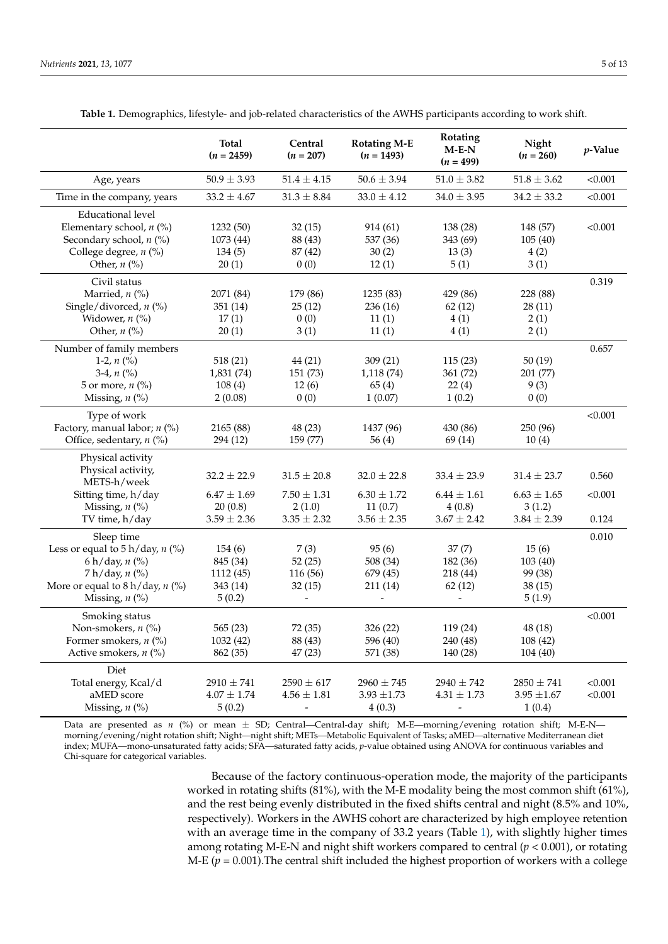<span id="page-4-0"></span>

| $M-E-N$<br>p-Value<br>$(n = 2459)$<br>$(n = 207)$<br>$(n = 260)$<br>$(n = 1493)$<br>$(n = 499)$                           |         |
|---------------------------------------------------------------------------------------------------------------------------|---------|
| $50.9 \pm 3.93$<br>$51.4 \pm 4.15$<br>$50.6 \pm 3.94$<br>$51.0 \pm 3.82$<br>$51.8 \pm 3.62$<br>Age, years                 | < 0.001 |
| $33.0 \pm 4.12$<br>Time in the company, years<br>$33.2 \pm 4.67$<br>$31.3 \pm 8.84$<br>$34.0 \pm 3.95$<br>$34.2 \pm 33.2$ | < 0.001 |
| <b>Educational level</b>                                                                                                  |         |
| Elementary school, $n$ (%)<br>1232 (50)<br>32(15)<br>914 (61)<br>138 (28)<br>148 (57)                                     | < 0.001 |
| Secondary school, n (%)<br>1073 (44)<br>88 (43)<br>537 (36)<br>343 (69)<br>105(40)                                        |         |
| College degree, n (%)<br>134(5)<br>87 (42)<br>30(2)<br>13(3)<br>4(2)                                                      |         |
| Other, $n$ (%)<br>20(1)<br>0(0)<br>12(1)<br>5(1)<br>3(1)                                                                  |         |
| Civil status                                                                                                              | 0.319   |
| Married, $n$ (%)<br>2071 (84)<br>179 (86)<br>1235 (83)<br>429 (86)<br>228 (88)                                            |         |
| Single/divorced, $n$ (%)<br>351 (14)<br>25(12)<br>236 (16)<br>62(12)<br>28(11)                                            |         |
| Widower, $n$ (%)<br>0(0)<br>17(1)<br>11(1)<br>4(1)<br>2(1)                                                                |         |
| Other, $n$ (%)<br>20(1)<br>3(1)<br>11(1)<br>4(1)<br>2(1)                                                                  |         |
| Number of family members                                                                                                  | 0.657   |
| 518(21)<br>1-2, $n$ (%)<br>44 (21)<br>309(21)<br>115(23)<br>50(19)                                                        |         |
| 3-4, $n$ (%)<br>1,831 (74)<br>151 (73)<br>1,118 (74)<br>361 (72)<br>201 (77)                                              |         |
| 5 or more, $n$ (%)<br>108(4)<br>12(6)<br>65(4)<br>22(4)<br>9(3)                                                           |         |
| Missing, $n$ (%)<br>2(0.08)<br>0(0)<br>1(0.07)<br>1(0.2)<br>0(0)                                                          |         |
| Type of work                                                                                                              | < 0.001 |
| Factory, manual labor; n (%)<br>2165 (88)<br>48 (23)<br>1437 (96)<br>430 (86)<br>250 (96)                                 |         |
| Office, sedentary, n (%)<br>294 (12)<br>159 (77)<br>56(4)<br>69 (14)<br>10(4)                                             |         |
| Physical activity                                                                                                         |         |
| Physical activity,                                                                                                        |         |
| $32.2 \pm 22.9$<br>$31.5 \pm 20.8$<br>$32.0 \pm 22.8$<br>$33.4 \pm 23.9$<br>$31.4 \pm 23.7$<br>METS-h/week                | 0.560   |
| $6.47 \pm 1.69$<br>$7.50 \pm 1.31$<br>$6.44 \pm 1.61$<br>$6.63 \pm 1.65$<br>Sitting time, h/day<br>$6.30 \pm 1.72$        | < 0.001 |
| Missing, $n$ (%)<br>11(0.7)<br>20(0.8)<br>2(1.0)<br>4(0.8)<br>3(1.2)                                                      |         |
| TV time, h/day<br>$3.59 \pm 2.36$<br>$3.35 \pm 2.32$<br>$3.56 \pm 2.35$<br>$3.67 \pm 2.42$<br>$3.84 \pm 2.39$             | 0.124   |
| Sleep time                                                                                                                | 0.010   |
| Less or equal to $5 h/day, n$ (%)<br>7(3)<br>154(6)<br>95(6)<br>37(7)<br>15(6)                                            |         |
| 6 h/day, $n$ (%)<br>52(25)<br>508 (34)<br>845 (34)<br>182 (36)<br>103(40)                                                 |         |
| $7 h/day, n$ (%)<br>1112 (45)<br>116 (56)<br>679 (45)<br>218 (44)<br>99 (38)                                              |         |
| More or equal to $8 h/day, n$ (%)<br>38(15)<br>343 (14)<br>32(15)<br>211 (14)<br>62(12)                                   |         |
| Missing, $n$ (%)<br>5(1.9)<br>5(0.2)<br>-<br>$\overline{a}$                                                               |         |
| Smoking status                                                                                                            | < 0.001 |
| 565 (23)<br>72 (35)<br>326 (22)<br>119 (24)<br>48 (18)<br>Non-smokers, $n$ (%)                                            |         |
| 1032 (42)<br>88 (43)<br>Former smokers, $n$ (%)<br>596 (40)<br>240 (48)<br>108(42)                                        |         |
| Active smokers, $n$ (%)<br>862 (35)<br>47(23)<br>571 (38)<br>140 (28)<br>104(40)                                          |         |
| Diet                                                                                                                      |         |
| Total energy, Kcal/d<br>$2910 \pm 741$<br>$2590 \pm 617$<br>$2960 \pm 745$<br>$2940 \pm 742$<br>$2850 \pm 741$            | < 0.001 |
| aMED score<br>$4.07 \pm 1.74$<br>$4.56 \pm 1.81$<br>$3.93 \pm 1.73$<br>$4.31 \pm 1.73$<br>$3.95 \pm 1.67$                 | < 0.001 |
| Missing, $n$ (%)<br>5(0.2)<br>4(0.3)<br>1(0.4)                                                                            |         |

**Table 1.** Demographics, lifestyle- and job-related characteristics of the AWHS participants according to work shift.

Data are presented as *n* (%) or mean ± SD; Central—Central-day shift; M-E—morning/evening rotation shift; M-E-N morning/evening/night rotation shift; Night—night shift; METs—Metabolic Equivalent of Tasks; aMED—alternative Mediterranean diet index; MUFA—mono-unsaturated fatty acids; SFA—saturated fatty acids, *p*-value obtained using ANOVA for continuous variables and Chi-square for categorical variables.

> Because of the factory continuous-operation mode, the majority of the participants worked in rotating shifts (81%), with the M-E modality being the most common shift (61%), and the rest being evenly distributed in the fixed shifts central and night (8.5% and 10%, respectively). Workers in the AWHS cohort are characterized by high employee retention with an average time in the company of 33.2 years (Table [1\)](#page-4-0), with slightly higher times among rotating M-E-N and night shift workers compared to central (*p* < 0.001), or rotating M-E ( $p = 0.001$ ). The central shift included the highest proportion of workers with a college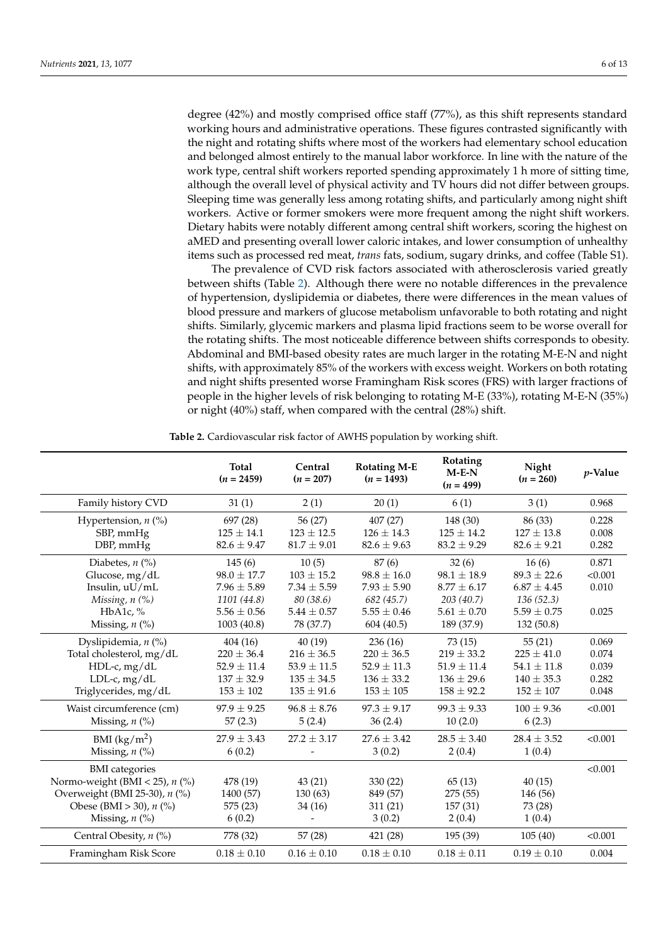degree (42%) and mostly comprised office staff (77%), as this shift represents standard working hours and administrative operations. These figures contrasted significantly with the night and rotating shifts where most of the workers had elementary school education and belonged almost entirely to the manual labor workforce. In line with the nature of the work type, central shift workers reported spending approximately 1 h more of sitting time, although the overall level of physical activity and TV hours did not differ between groups. Sleeping time was generally less among rotating shifts, and particularly among night shift workers. Active or former smokers were more frequent among the night shift workers. Dietary habits were notably different among central shift workers, scoring the highest on aMED and presenting overall lower caloric intakes, and lower consumption of unhealthy items such as processed red meat, *trans* fats, sodium, sugary drinks, and coffee (Table S1).

The prevalence of CVD risk factors associated with atherosclerosis varied greatly between shifts (Table [2\)](#page-6-0). Although there were no notable differences in the prevalence of hypertension, dyslipidemia or diabetes, there were differences in the mean values of blood pressure and markers of glucose metabolism unfavorable to both rotating and night shifts. Similarly, glycemic markers and plasma lipid fractions seem to be worse overall for the rotating shifts. The most noticeable difference between shifts corresponds to obesity. Abdominal and BMI-based obesity rates are much larger in the rotating M-E-N and night shifts, with approximately 85% of the workers with excess weight. Workers on both rotating and night shifts presented worse Framingham Risk scores (FRS) with larger fractions of people in the higher levels of risk belonging to rotating M-E (33%), rotating M-E-N (35%) or night (40%) staff, when compared with the central (28%) shift.

|                                  | Total<br>$(n = 2459)$             | Central<br>$(n = 207)$            | <b>Rotating M-E</b><br>$(n = 1493)$ | Rotating<br>$M-E-N$<br>$(n = 499)$ | Night<br>$(n = 260)$              | $p$ -Value     |
|----------------------------------|-----------------------------------|-----------------------------------|-------------------------------------|------------------------------------|-----------------------------------|----------------|
| Family history CVD               | 31(1)                             | 2(1)                              | 20(1)                               | 6(1)                               | 3(1)                              | 0.968          |
| Hypertension, $n$ (%)            | 697 (28)                          | 56 (27)                           | 407 (27)                            | 148 (30)                           | 86 (33)                           | 0.228          |
| SBP, mmHg<br>DBP, mmHg           | $125 \pm 14.1$<br>$82.6 \pm 9.47$ | $123 \pm 12.5$<br>$81.7 \pm 9.01$ | $126 \pm 14.3$<br>$82.6 \pm 9.63$   | $125 \pm 14.2$<br>$83.2 \pm 9.29$  | $127 \pm 13.8$<br>$82.6 \pm 9.21$ | 0.008<br>0.282 |
| Diabetes, $n$ (%)                | 145(6)                            | 10(5)                             | 87(6)                               | 32(6)                              | 16(6)                             | 0.871          |
| Glucose, mg/dL                   | $98.0 \pm 17.7$                   | $103 \pm 15.2$                    | $98.8 \pm 16.0$                     | $98.1 \pm 18.9$                    | $89.3 + 22.6$                     | < 0.001        |
| Insulin, uU/mL                   | $7.96 \pm 5.89$                   | $7.34 \pm 5.59$                   | $7.93 \pm 5.90$                     | $8.77 \pm 6.17$                    | $6.87 \pm 4.45$                   | 0.010          |
| Missing, $n$ $(\%)$              | 1101 (44.8)                       | 80 (38.6)                         | 682 (45.7)                          | 203(40.7)                          | 136(52.3)                         |                |
| HbA1c, $%$                       | $5.56 \pm 0.56$                   | $5.44 \pm 0.57$                   | $5.55 \pm 0.46$                     | $5.61 \pm 0.70$                    | $5.59 \pm 0.75$                   | 0.025          |
| Missing, $n$ (%)                 | 1003(40.8)                        | 78 (37.7)                         | 604 (40.5)                          | 189 (37.9)                         | 132 (50.8)                        |                |
| Dyslipidemia, $n$ (%)            | 404(16)                           | 40(19)                            | 236(16)                             | 73 (15)                            | 55(21)                            | 0.069          |
| Total cholesterol, mg/dL         | $220 \pm 36.4$                    | $216 \pm 36.5$                    | $220 \pm 36.5$                      | $219 \pm 33.2$                     | $225 \pm 41.0$                    | 0.074          |
| HDL-c, mg/dL                     | $52.9 \pm 11.4$                   | $53.9 \pm 11.5$                   | $52.9 \pm 11.3$                     | $51.9 \pm 11.4$                    | $54.1 \pm 11.8$                   | 0.039          |
| LDL-c, $mg/dL$                   | $137 \pm 32.9$                    | $135 \pm 34.5$                    | $136 \pm 33.2$                      | $136 \pm 29.6$                     | $140 \pm 35.3$                    | 0.282          |
| Triglycerides, mg/dL             | $153 \pm 102$                     | $135 \pm 91.6$                    | $153 \pm 105$                       | $158 \pm 92.2$                     | $152 \pm 107$                     | 0.048          |
| Waist circumference (cm)         | $97.9 \pm 9.25$                   | $96.8 \pm 8.76$                   | $97.3 \pm 9.17$                     | $99.3 \pm 9.33$                    | $100 \pm 9.36$                    | < 0.001        |
| Missing, $n$ (%)                 | 57(2.3)                           | 5(2.4)                            | 36(2.4)                             | 10(2.0)                            | 6(2.3)                            |                |
| BMI $(kg/m^2)$                   | $27.9 \pm 3.43$                   | $27.2 \pm 3.17$                   | $27.6 \pm 3.42$                     | $28.5 \pm 3.40$                    | $28.4 \pm 3.52$                   | < 0.001        |
| Missing, $n$ (%)                 | 6(0.2)                            |                                   | 3(0.2)                              | 2(0.4)                             | 1(0.4)                            |                |
| <b>BMI</b> categories            |                                   |                                   |                                     |                                    |                                   | < 0.001        |
| Normo-weight (BMI < 25), $n$ (%) | 478 (19)                          | 43(21)                            | 330 (22)                            | 65(13)                             | 40(15)                            |                |
| Overweight (BMI 25-30), n (%)    | 1400 (57)                         | 130(63)                           | 849 (57)                            | 275(55)                            | 146 (56)                          |                |
| Obese (BMI > 30), $n$ (%)        | 575 (23)                          | 34 (16)                           | 311 (21)                            | 157 (31)                           | 73 (28)                           |                |
| Missing, $n$ (%)                 | 6(0.2)                            |                                   | 3(0.2)                              | 2(0.4)                             | 1(0.4)                            |                |
| Central Obesity, n (%)           | 778 (32)                          | 57(28)                            | 421 (28)                            | 195 (39)                           | 105(40)                           | < 0.001        |
| Framingham Risk Score            | $0.18 \pm 0.10$                   | $0.16 \pm 0.10$                   | $0.18 \pm 0.10$                     | $0.18 \pm 0.11$                    | $0.19 \pm 0.10$                   | 0.004          |

**Table 2.** Cardiovascular risk factor of AWHS population by working shift.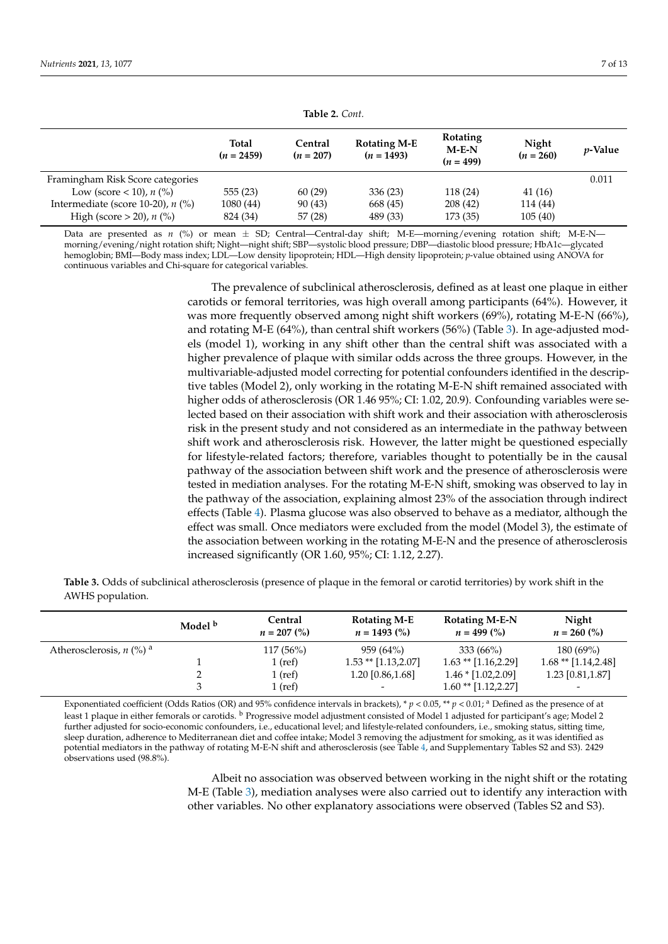<span id="page-6-0"></span>

| Table 2. Cont.                      |                              |                        |                                     |                                    |                      |                 |  |
|-------------------------------------|------------------------------|------------------------|-------------------------------------|------------------------------------|----------------------|-----------------|--|
|                                     | <b>Total</b><br>$(n = 2459)$ | Central<br>$(n = 207)$ | <b>Rotating M-E</b><br>$(n = 1493)$ | Rotating<br>$M-E-N$<br>$(n = 499)$ | Night<br>$(n = 260)$ | <i>p</i> -Value |  |
| Framingham Risk Score categories    |                              |                        |                                     |                                    |                      | 0.011           |  |
| Low (score < 10), $n$ (%)           | 555(23)                      | 60(29)                 | 336(23)                             | 118 (24)                           | 41(16)               |                 |  |
| Intermediate (score 10-20), $n$ (%) | 1080 (44)                    | 90 (43)                | 668 (45)                            | 208(42)                            | 114 (44)             |                 |  |
| High (score $> 20$ ), n (%)         | 824 (34)                     | 57(28)                 | 489 (33)                            | 173 (35)                           | 105(40)              |                 |  |

Data are presented as *n* (%) or mean ± SD; Central—Central-day shift; M-E—morning/evening rotation shift; M-E-N morning/evening/night rotation shift; Night—night shift; SBP—systolic blood pressure; DBP—diastolic blood pressure; HbA1c—glycated hemoglobin; BMI—Body mass index; LDL—Low density lipoprotein; HDL—High density lipoprotein; *p*-value obtained using ANOVA for continuous variables and Chi-square for categorical variables.

> The prevalence of subclinical atherosclerosis, defined as at least one plaque in either carotids or femoral territories, was high overall among participants (64%). However, it was more frequently observed among night shift workers (69%), rotating M-E-N (66%), and rotating M-E (64%), than central shift workers (56%) (Table [3\)](#page-6-1). In age-adjusted models (model 1), working in any shift other than the central shift was associated with a higher prevalence of plaque with similar odds across the three groups. However, in the multivariable-adjusted model correcting for potential confounders identified in the descriptive tables (Model 2), only working in the rotating M-E-N shift remained associated with higher odds of atherosclerosis (OR 1.46 95%; CI: 1.02, 20.9). Confounding variables were selected based on their association with shift work and their association with atherosclerosis risk in the present study and not considered as an intermediate in the pathway between shift work and atherosclerosis risk. However, the latter might be questioned especially for lifestyle-related factors; therefore, variables thought to potentially be in the causal pathway of the association between shift work and the presence of atherosclerosis were tested in mediation analyses. For the rotating M-E-N shift, smoking was observed to lay in the pathway of the association, explaining almost 23% of the association through indirect effects (Table [4\)](#page-7-0). Plasma glucose was also observed to behave as a mediator, although the effect was small. Once mediators were excluded from the model (Model 3), the estimate of the association between working in the rotating M-E-N and the presence of atherosclerosis increased significantly (OR 1.60, 95%; CI: 1.12, 2.27).

<span id="page-6-1"></span>**Table 3.** Odds of subclinical atherosclerosis (presence of plaque in the femoral or carotid territories) by work shift in the AWHS population.

|                                     | Model <sup>b</sup> | Central<br>$n = 207$ (%) | <b>Rotating M-E</b><br>$n = 1493$ (%) | <b>Rotating M-E-N</b><br>$n = 499\ (%)$ | Night<br>$n = 260$ (%)   |
|-------------------------------------|--------------------|--------------------------|---------------------------------------|-----------------------------------------|--------------------------|
| Atherosclerosis, $n \binom{0}{0}^a$ |                    | $117(56\%)$              | 959 (64%)                             | $333(66\%)$                             | 180 (69%)                |
|                                     |                    | $1$ (ref)                | $1.53$ ** $[1.13, 2.07]$              | $1.63$ ** $[1.16, 2.29]$                | $1.68**$ [1.14,2.48]     |
|                                     |                    | $1$ (ref)                | 1.20 [0.86,1.68]                      | $1.46 * [1.02, 2.09]$                   | 1.23 [0.81,1.87]         |
|                                     |                    | $1$ (ref)                | $\overline{\phantom{a}}$              | $1.60$ ** $[1.12, 2.27]$                | $\overline{\phantom{a}}$ |

Exponentiated coefficient (Odds Ratios (OR) and 95% confidence intervals in brackets),  $* p < 0.05$ ,  $* p < 0.01$ , <sup>a</sup> Defined as the presence of at least 1 plaque in either femorals or carotids. <sup>b</sup> Progressive model adjustment consisted of Model 1 adjusted for participant's age; Model 2 further adjusted for socio-economic confounders, i.e., educational level; and lifestyle-related confounders, i.e., smoking status, sitting time, sleep duration, adherence to Mediterranean diet and coffee intake; Model 3 removing the adjustment for smoking, as it was identified as potential mediators in the pathway of rotating M-E-N shift and atherosclerosis (see Table [4,](#page-7-0) and Supplementary Tables S2 and S3). 2429 observations used (98.8%).

> Albeit no association was observed between working in the night shift or the rotating M-E (Table [3\)](#page-6-1), mediation analyses were also carried out to identify any interaction with other variables. No other explanatory associations were observed (Tables S2 and S3).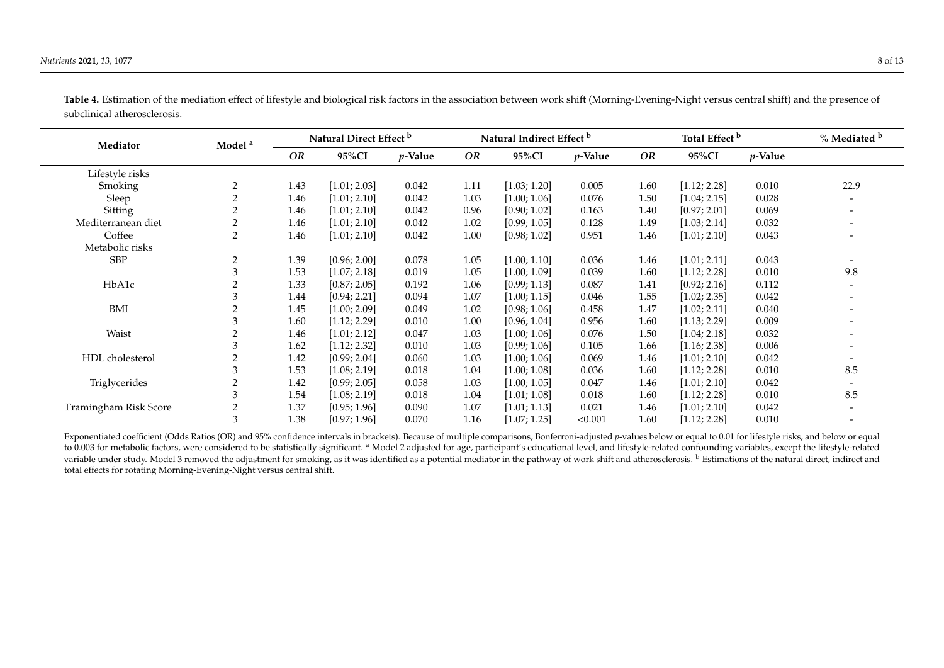| Mediator              | Model <sup>a</sup> | Natural Direct Effect b |              | Natural Indirect Effect b |      |              | Total Effect <sup>b</sup> |      |              | % Mediated b |                          |
|-----------------------|--------------------|-------------------------|--------------|---------------------------|------|--------------|---------------------------|------|--------------|--------------|--------------------------|
|                       |                    | OR                      | 95%CI        | $p$ -Value                | OR   | 95%CI        | $p$ -Value                | OR   | 95%CI        | $p$ -Value   |                          |
| Lifestyle risks       |                    |                         |              |                           |      |              |                           |      |              |              |                          |
| Smoking               | 2                  | 1.43                    | [1.01; 2.03] | 0.042                     | 1.11 | [1.03; 1.20] | 0.005                     | 1.60 | [1.12; 2.28] | 0.010        | 22.9                     |
| Sleep                 | 2                  | 1.46                    | [1.01; 2.10] | 0.042                     | 1.03 | [1.00; 1.06] | 0.076                     | 1.50 | [1.04; 2.15] | 0.028        | $\overline{\phantom{a}}$ |
| Sitting               |                    | 1.46                    | [1.01; 2.10] | 0.042                     | 0.96 | [0.90; 1.02] | 0.163                     | 1.40 | [0.97; 2.01] | 0.069        |                          |
| Mediterranean diet    |                    | 1.46                    | [1.01; 2.10] | 0.042                     | 1.02 | [0.99; 1.05] | 0.128                     | 1.49 | [1.03; 2.14] | 0.032        |                          |
| Coffee                | 2                  | 1.46                    | [1.01; 2.10] | 0.042                     | 1.00 | [0.98; 1.02] | 0.951                     | 1.46 | [1.01; 2.10] | 0.043        |                          |
| Metabolic risks       |                    |                         |              |                           |      |              |                           |      |              |              |                          |
| <b>SBP</b>            | $\overline{2}$     | 1.39                    | [0.96; 2.00] | 0.078                     | 1.05 | [1.00; 1.10] | 0.036                     | 1.46 | [1.01; 2.11] | 0.043        | $\overline{\phantom{a}}$ |
|                       | 3                  | 1.53                    | [1.07; 2.18] | 0.019                     | 1.05 | [1.00; 1.09] | 0.039                     | 1.60 | [1.12; 2.28] | 0.010        | 9.8                      |
| HbA1c                 | 2                  | 1.33                    | [0.87; 2.05] | 0.192                     | 1.06 | [0.99; 1.13] | 0.087                     | 1.41 | [0.92; 2.16] | 0.112        | $\overline{\phantom{a}}$ |
|                       | 3                  | 1.44                    | [0.94; 2.21] | 0.094                     | 1.07 | [1.00; 1.15] | 0.046                     | 1.55 | [1.02; 2.35] | 0.042        | $\overline{\phantom{a}}$ |
| BMI                   |                    | 1.45                    | [1.00; 2.09] | 0.049                     | 1.02 | [0.98; 1.06] | 0.458                     | 1.47 | [1.02; 2.11] | 0.040        |                          |
|                       | 3                  | 1.60                    | [1.12; 2.29] | 0.010                     | 1.00 | [0.96; 1.04] | 0.956                     | 1.60 | [1.13; 2.29] | 0.009        |                          |
| Waist                 |                    | 1.46                    | [1.01; 2.12] | 0.047                     | 1.03 | [1.00; 1.06] | 0.076                     | 1.50 | [1.04; 2.18] | 0.032        |                          |
|                       | 3                  | 1.62                    | [1.12; 2.32] | 0.010                     | 1.03 | [0.99; 1.06] | 0.105                     | 1.66 | [1.16; 2.38] | 0.006        | $\overline{\phantom{a}}$ |
| HDL cholesterol       |                    | 1.42                    | [0.99; 2.04] | 0.060                     | 1.03 | [1.00; 1.06] | 0.069                     | 1.46 | [1.01; 2.10] | 0.042        |                          |
|                       | 3                  | 1.53                    | [1.08; 2.19] | 0.018                     | 1.04 | [1.00; 1.08] | 0.036                     | 1.60 | [1.12; 2.28] | 0.010        | 8.5                      |
| Triglycerides         | 2                  | 1.42                    | [0.99; 2.05] | 0.058                     | 1.03 | [1.00; 1.05] | 0.047                     | 1.46 | [1.01; 2.10] | 0.042        |                          |
|                       | 3                  | 1.54                    | [1.08; 2.19] | 0.018                     | 1.04 | [1.01; 1.08] | 0.018                     | 1.60 | [1.12; 2.28] | 0.010        | 8.5                      |
| Framingham Risk Score |                    | 1.37                    | [0.95; 1.96] | 0.090                     | 1.07 | [1.01; 1.13] | 0.021                     | 1.46 | [1.01; 2.10] | 0.042        | $\overline{\phantom{a}}$ |
|                       | 3                  | 1.38                    | [0.97; 1.96] | 0.070                     | 1.16 | [1.07; 1.25] | < 0.001                   | 1.60 | [1.12; 2.28] | 0.010        | $\overline{\phantom{a}}$ |

Table 4. Estimation of the mediation effect of lifestyle and biological risk factors in the association between work shift (Morning-Evening-Night versus central shift) and the presence of subclinical atherosclerosis.

<span id="page-7-0"></span>Exponentiated coefficient (Odds Ratios (OR) and 95% confidence intervals in brackets). Because of multiple comparisons, Bonferroni-adjusted p-values below or equal to 0.01 for lifestyle risks, and below or equal to 0.003 for metabolic factors, were considered to be statistically significant. <sup>a</sup> Model 2 adjusted for age, participant's educational level, and lifestyle-related confounding variables, except the lifestyle-related variable under study. Model 3 removed the adjustment for smoking, as it was identified as a potential mediator in the pathway of work shift and atherosclerosis. <sup>b</sup> Estimations of the natural direct, indirect and total effects for rotating Morning-Evening-Night versus central shift.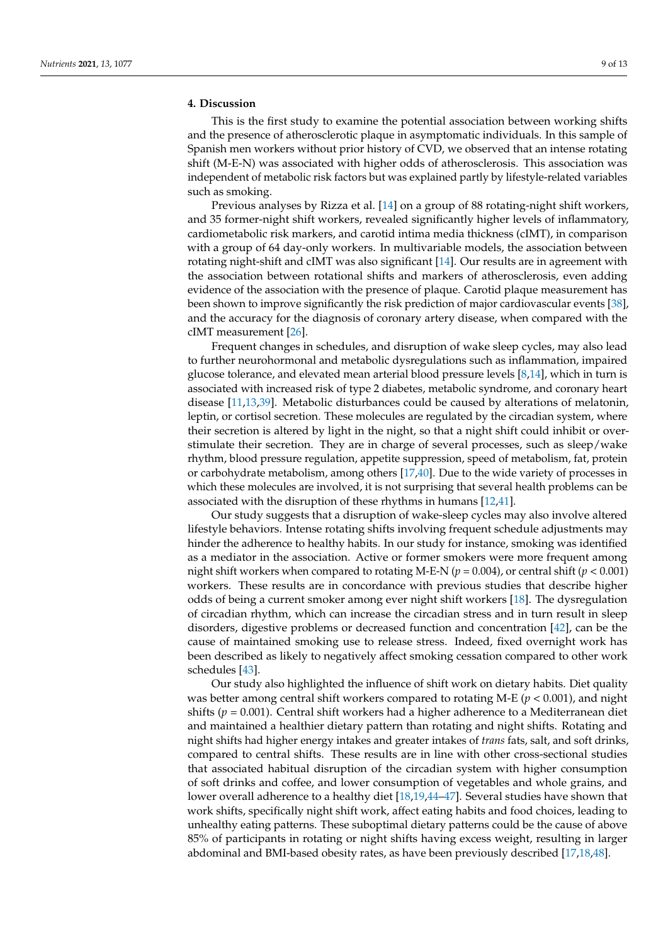# **4. Discussion**

This is the first study to examine the potential association between working shifts and the presence of atherosclerotic plaque in asymptomatic individuals. In this sample of Spanish men workers without prior history of CVD, we observed that an intense rotating shift (M-E-N) was associated with higher odds of atherosclerosis. This association was independent of metabolic risk factors but was explained partly by lifestyle-related variables such as smoking.

Previous analyses by Rizza et al. [\[14\]](#page-11-0) on a group of 88 rotating-night shift workers, and 35 former-night shift workers, revealed significantly higher levels of inflammatory, cardiometabolic risk markers, and carotid intima media thickness (cIMT), in comparison with a group of 64 day-only workers. In multivariable models, the association between rotating night-shift and cIMT was also significant [\[14\]](#page-11-0). Our results are in agreement with the association between rotational shifts and markers of atherosclerosis, even adding evidence of the association with the presence of plaque. Carotid plaque measurement has been shown to improve significantly the risk prediction of major cardiovascular events [\[38\]](#page-12-2), and the accuracy for the diagnosis of coronary artery disease, when compared with the cIMT measurement [\[26\]](#page-11-9).

Frequent changes in schedules, and disruption of wake sleep cycles, may also lead to further neurohormonal and metabolic dysregulations such as inflammation, impaired glucose tolerance, and elevated mean arterial blood pressure levels [\[8,](#page-10-7)[14\]](#page-11-0), which in turn is associated with increased risk of type 2 diabetes, metabolic syndrome, and coronary heart disease [\[11](#page-10-10)[,13](#page-11-19)[,39\]](#page-12-3). Metabolic disturbances could be caused by alterations of melatonin, leptin, or cortisol secretion. These molecules are regulated by the circadian system, where their secretion is altered by light in the night, so that a night shift could inhibit or overstimulate their secretion. They are in charge of several processes, such as sleep/wake rhythm, blood pressure regulation, appetite suppression, speed of metabolism, fat, protein or carbohydrate metabolism, among others [\[17](#page-11-20)[,40\]](#page-12-4). Due to the wide variety of processes in which these molecules are involved, it is not surprising that several health problems can be associated with the disruption of these rhythms in humans [\[12](#page-10-11)[,41\]](#page-12-5).

Our study suggests that a disruption of wake-sleep cycles may also involve altered lifestyle behaviors. Intense rotating shifts involving frequent schedule adjustments may hinder the adherence to healthy habits. In our study for instance, smoking was identified as a mediator in the association. Active or former smokers were more frequent among night shift workers when compared to rotating M-E-N (*p* = 0.004), or central shift (*p* < 0.001) workers. These results are in concordance with previous studies that describe higher odds of being a current smoker among ever night shift workers [\[18\]](#page-11-21). The dysregulation of circadian rhythm, which can increase the circadian stress and in turn result in sleep disorders, digestive problems or decreased function and concentration [\[42\]](#page-12-6), can be the cause of maintained smoking use to release stress. Indeed, fixed overnight work has been described as likely to negatively affect smoking cessation compared to other work schedules [\[43\]](#page-12-7).

Our study also highlighted the influence of shift work on dietary habits. Diet quality was better among central shift workers compared to rotating M-E  $(p < 0.001)$ , and night shifts (*p* = 0.001). Central shift workers had a higher adherence to a Mediterranean diet and maintained a healthier dietary pattern than rotating and night shifts. Rotating and night shifts had higher energy intakes and greater intakes of *trans* fats, salt, and soft drinks, compared to central shifts. These results are in line with other cross-sectional studies that associated habitual disruption of the circadian system with higher consumption of soft drinks and coffee, and lower consumption of vegetables and whole grains, and lower overall adherence to a healthy diet [\[18,](#page-11-21)[19,](#page-11-2)[44](#page-12-8)[–47\]](#page-12-9). Several studies have shown that work shifts, specifically night shift work, affect eating habits and food choices, leading to unhealthy eating patterns. These suboptimal dietary patterns could be the cause of above 85% of participants in rotating or night shifts having excess weight, resulting in larger abdominal and BMI-based obesity rates, as have been previously described [\[17](#page-11-20)[,18](#page-11-21)[,48\]](#page-12-10).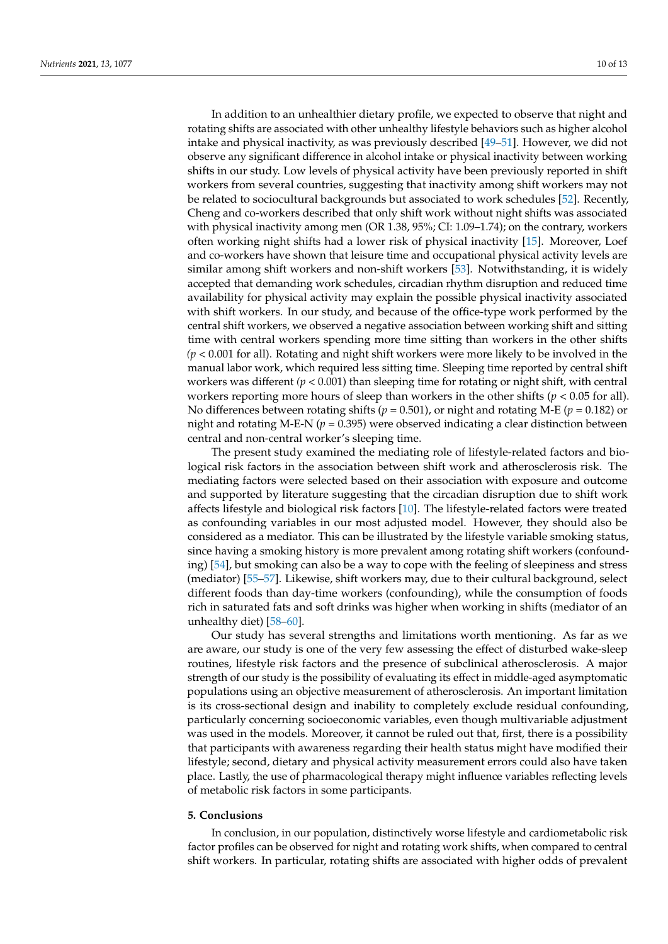In addition to an unhealthier dietary profile, we expected to observe that night and rotating shifts are associated with other unhealthy lifestyle behaviors such as higher alcohol intake and physical inactivity, as was previously described [\[49–](#page-12-11)[51\]](#page-12-12). However, we did not observe any significant difference in alcohol intake or physical inactivity between working shifts in our study. Low levels of physical activity have been previously reported in shift workers from several countries, suggesting that inactivity among shift workers may not be related to sociocultural backgrounds but associated to work schedules [\[52\]](#page-12-13). Recently, Cheng and co-workers described that only shift work without night shifts was associated with physical inactivity among men (OR 1.38, 95%; CI: 1.09–1.74); on the contrary, workers often working night shifts had a lower risk of physical inactivity [\[15\]](#page-11-1). Moreover, Loef and co-workers have shown that leisure time and occupational physical activity levels are similar among shift workers and non-shift workers [\[53\]](#page-12-14). Notwithstanding, it is widely accepted that demanding work schedules, circadian rhythm disruption and reduced time availability for physical activity may explain the possible physical inactivity associated with shift workers. In our study, and because of the office-type work performed by the central shift workers, we observed a negative association between working shift and sitting time with central workers spending more time sitting than workers in the other shifts *(p* < 0.001 for all). Rotating and night shift workers were more likely to be involved in the manual labor work, which required less sitting time. Sleeping time reported by central shift workers was different  $(p < 0.001)$  than sleeping time for rotating or night shift, with central workers reporting more hours of sleep than workers in the other shifts (*p* < 0.05 for all). No differences between rotating shifts (*p* = 0.501), or night and rotating M-E (*p* = 0.182) or night and rotating M-E-N ( $p = 0.395$ ) were observed indicating a clear distinction between central and non-central worker's sleeping time.

The present study examined the mediating role of lifestyle-related factors and biological risk factors in the association between shift work and atherosclerosis risk. The mediating factors were selected based on their association with exposure and outcome and supported by literature suggesting that the circadian disruption due to shift work affects lifestyle and biological risk factors [\[10\]](#page-10-9). The lifestyle-related factors were treated as confounding variables in our most adjusted model. However, they should also be considered as a mediator. This can be illustrated by the lifestyle variable smoking status, since having a smoking history is more prevalent among rotating shift workers (confounding) [\[54\]](#page-12-15), but smoking can also be a way to cope with the feeling of sleepiness and stress (mediator) [\[55](#page-12-16)[–57\]](#page-12-17). Likewise, shift workers may, due to their cultural background, select different foods than day-time workers (confounding), while the consumption of foods rich in saturated fats and soft drinks was higher when working in shifts (mediator of an unhealthy diet) [\[58–](#page-12-18)[60\]](#page-12-19).

Our study has several strengths and limitations worth mentioning. As far as we are aware, our study is one of the very few assessing the effect of disturbed wake-sleep routines, lifestyle risk factors and the presence of subclinical atherosclerosis. A major strength of our study is the possibility of evaluating its effect in middle-aged asymptomatic populations using an objective measurement of atherosclerosis. An important limitation is its cross-sectional design and inability to completely exclude residual confounding, particularly concerning socioeconomic variables, even though multivariable adjustment was used in the models. Moreover, it cannot be ruled out that, first, there is a possibility that participants with awareness regarding their health status might have modified their lifestyle; second, dietary and physical activity measurement errors could also have taken place. Lastly, the use of pharmacological therapy might influence variables reflecting levels of metabolic risk factors in some participants.

# **5. Conclusions**

In conclusion, in our population, distinctively worse lifestyle and cardiometabolic risk factor profiles can be observed for night and rotating work shifts, when compared to central shift workers. In particular, rotating shifts are associated with higher odds of prevalent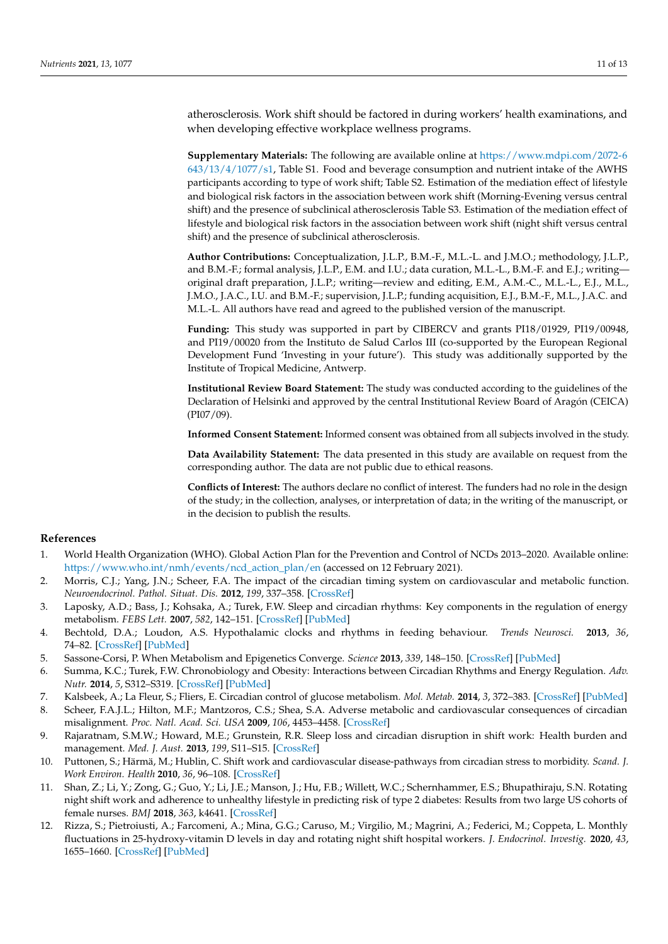atherosclerosis. Work shift should be factored in during workers' health examinations, and when developing effective workplace wellness programs.

**Supplementary Materials:** The following are available online at [https://www.mdpi.com/2072-6](https://www.mdpi.com/2072-6643/13/4/1077/s1) [643/13/4/1077/s1,](https://www.mdpi.com/2072-6643/13/4/1077/s1) Table S1. Food and beverage consumption and nutrient intake of the AWHS participants according to type of work shift; Table S2. Estimation of the mediation effect of lifestyle and biological risk factors in the association between work shift (Morning-Evening versus central shift) and the presence of subclinical atherosclerosis Table S3. Estimation of the mediation effect of lifestyle and biological risk factors in the association between work shift (night shift versus central shift) and the presence of subclinical atherosclerosis.

**Author Contributions:** Conceptualization, J.L.P., B.M.-F., M.L.-L. and J.M.O.; methodology, J.L.P., and B.M.-F.; formal analysis, J.L.P., E.M. and I.U.; data curation, M.L.-L., B.M.-F. and E.J.; writing original draft preparation, J.L.P.; writing—review and editing, E.M., A.M.-C., M.L.-L., E.J., M.L., J.M.O., J.A.C., I.U. and B.M.-F.; supervision, J.L.P.; funding acquisition, E.J., B.M.-F., M.L., J.A.C. and M.L.-L. All authors have read and agreed to the published version of the manuscript.

**Funding:** This study was supported in part by CIBERCV and grants PI18/01929, PI19/00948, and PI19/00020 from the Instituto de Salud Carlos III (co-supported by the European Regional Development Fund 'Investing in your future'). This study was additionally supported by the Institute of Tropical Medicine, Antwerp.

**Institutional Review Board Statement:** The study was conducted according to the guidelines of the Declaration of Helsinki and approved by the central Institutional Review Board of Aragón (CEICA) (PI07/09).

**Informed Consent Statement:** Informed consent was obtained from all subjects involved in the study.

**Data Availability Statement:** The data presented in this study are available on request from the corresponding author. The data are not public due to ethical reasons.

**Conflicts of Interest:** The authors declare no conflict of interest. The funders had no role in the design of the study; in the collection, analyses, or interpretation of data; in the writing of the manuscript, or in the decision to publish the results.

# **References**

- <span id="page-10-0"></span>1. World Health Organization (WHO). Global Action Plan for the Prevention and Control of NCDs 2013–2020. Available online: [https://www.who.int/nmh/events/ncd\\_action\\_plan/en](https://www.who.int/nmh/events/ncd_action_plan/en) (accessed on 12 February 2021).
- <span id="page-10-1"></span>2. Morris, C.J.; Yang, J.N.; Scheer, F.A. The impact of the circadian timing system on cardiovascular and metabolic function. *Neuroendocrinol. Pathol. Situat. Dis.* **2012**, *199*, 337–358. [\[CrossRef\]](http://doi.org/10.1016/b978-0-444-59427-3.00019-8)
- <span id="page-10-2"></span>3. Laposky, A.D.; Bass, J.; Kohsaka, A.; Turek, F.W. Sleep and circadian rhythms: Key components in the regulation of energy metabolism. *FEBS Lett.* **2007**, *582*, 142–151. [\[CrossRef\]](http://doi.org/10.1016/j.febslet.2007.06.079) [\[PubMed\]](http://www.ncbi.nlm.nih.gov/pubmed/17707819)
- <span id="page-10-3"></span>4. Bechtold, D.A.; Loudon, A.S. Hypothalamic clocks and rhythms in feeding behaviour. *Trends Neurosci.* **2013**, *36*, 74–82. [\[CrossRef\]](http://doi.org/10.1016/j.tins.2012.12.007) [\[PubMed\]](http://www.ncbi.nlm.nih.gov/pubmed/23333345)
- <span id="page-10-4"></span>5. Sassone-Corsi, P. When Metabolism and Epigenetics Converge. *Science* **2013**, *339*, 148–150. [\[CrossRef\]](http://doi.org/10.1126/science.1233423) [\[PubMed\]](http://www.ncbi.nlm.nih.gov/pubmed/23307727)
- <span id="page-10-5"></span>6. Summa, K.C.; Turek, F.W. Chronobiology and Obesity: Interactions between Circadian Rhythms and Energy Regulation. *Adv. Nutr.* **2014**, *5*, S312–S319. [\[CrossRef\]](http://doi.org/10.3945/an.113.005132) [\[PubMed\]](http://www.ncbi.nlm.nih.gov/pubmed/24829483)
- <span id="page-10-6"></span>7. Kalsbeek, A.; La Fleur, S.; Fliers, E. Circadian control of glucose metabolism. *Mol. Metab.* **2014**, *3*, 372–383. [\[CrossRef\]](http://doi.org/10.1016/j.molmet.2014.03.002) [\[PubMed\]](http://www.ncbi.nlm.nih.gov/pubmed/24944897)
- <span id="page-10-7"></span>8. Scheer, F.A.J.L.; Hilton, M.F.; Mantzoros, C.S.; Shea, S.A. Adverse metabolic and cardiovascular consequences of circadian misalignment. *Proc. Natl. Acad. Sci. USA* **2009**, *106*, 4453–4458. [\[CrossRef\]](http://doi.org/10.1073/pnas.0808180106)
- <span id="page-10-8"></span>9. Rajaratnam, S.M.W.; Howard, M.E.; Grunstein, R.R. Sleep loss and circadian disruption in shift work: Health burden and management. *Med. J. Aust.* **2013**, *199*, S11–S15. [\[CrossRef\]](http://doi.org/10.5694/mja13.10561)
- <span id="page-10-9"></span>10. Puttonen, S.; Härmä, M.; Hublin, C. Shift work and cardiovascular disease-pathways from circadian stress to morbidity. *Scand. J. Work Environ. Health* **2010**, *36*, 96–108. [\[CrossRef\]](http://doi.org/10.5271/sjweh.2894)
- <span id="page-10-10"></span>11. Shan, Z.; Li, Y.; Zong, G.; Guo, Y.; Li, J.E.; Manson, J.; Hu, F.B.; Willett, W.C.; Schernhammer, E.S.; Bhupathiraju, S.N. Rotating night shift work and adherence to unhealthy lifestyle in predicting risk of type 2 diabetes: Results from two large US cohorts of female nurses. *BMJ* **2018**, *363*, k4641. [\[CrossRef\]](http://doi.org/10.1136/bmj.k4641)
- <span id="page-10-11"></span>12. Rizza, S.; Pietroiusti, A.; Farcomeni, A.; Mina, G.G.; Caruso, M.; Virgilio, M.; Magrini, A.; Federici, M.; Coppeta, L. Monthly fluctuations in 25-hydroxy-vitamin D levels in day and rotating night shift hospital workers. *J. Endocrinol. Investig.* **2020**, *43*, 1655–1660. [\[CrossRef\]](http://doi.org/10.1007/s40618-020-01265-x) [\[PubMed\]](http://www.ncbi.nlm.nih.gov/pubmed/32342444)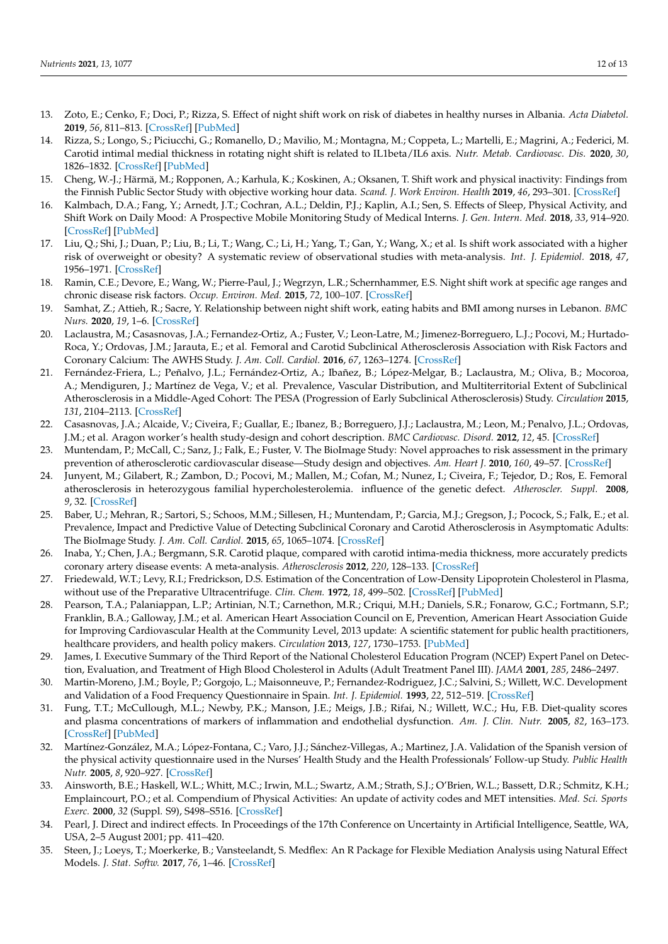- <span id="page-11-19"></span>13. Zoto, E.; Cenko, F.; Doci, P.; Rizza, S. Effect of night shift work on risk of diabetes in healthy nurses in Albania. *Acta Diabetol.* **2019**, *56*, 811–813. [\[CrossRef\]](http://doi.org/10.1007/s00592-019-01307-8) [\[PubMed\]](http://www.ncbi.nlm.nih.gov/pubmed/30877388)
- <span id="page-11-0"></span>14. Rizza, S.; Longo, S.; Piciucchi, G.; Romanello, D.; Mavilio, M.; Montagna, M.; Coppeta, L.; Martelli, E.; Magrini, A.; Federici, M. Carotid intimal medial thickness in rotating night shift is related to IL1beta/IL6 axis. *Nutr. Metab. Cardiovasc. Dis.* **2020**, *30*, 1826–1832. [\[CrossRef\]](http://doi.org/10.1016/j.numecd.2020.05.028) [\[PubMed\]](http://www.ncbi.nlm.nih.gov/pubmed/32665209)
- <span id="page-11-1"></span>15. Cheng, W.-J.; Härmä, M.; Ropponen, A.; Karhula, K.; Koskinen, A.; Oksanen, T. Shift work and physical inactivity: Findings from the Finnish Public Sector Study with objective working hour data. *Scand. J. Work Environ. Health* **2019**, *46*, 293–301. [\[CrossRef\]](http://doi.org/10.5271/sjweh.3868)
- 16. Kalmbach, D.A.; Fang, Y.; Arnedt, J.T.; Cochran, A.L.; Deldin, P.J.; Kaplin, A.I.; Sen, S. Effects of Sleep, Physical Activity, and Shift Work on Daily Mood: A Prospective Mobile Monitoring Study of Medical Interns. *J. Gen. Intern. Med.* **2018**, *33*, 914–920. [\[CrossRef\]](http://doi.org/10.1007/s11606-018-4373-2) [\[PubMed\]](http://www.ncbi.nlm.nih.gov/pubmed/29542006)
- <span id="page-11-20"></span>17. Liu, Q.; Shi, J.; Duan, P.; Liu, B.; Li, T.; Wang, C.; Li, H.; Yang, T.; Gan, Y.; Wang, X.; et al. Is shift work associated with a higher risk of overweight or obesity? A systematic review of observational studies with meta-analysis. *Int. J. Epidemiol.* **2018**, *47*, 1956–1971. [\[CrossRef\]](http://doi.org/10.1093/ije/dyy079)
- <span id="page-11-21"></span>18. Ramin, C.E.; Devore, E.; Wang, W.; Pierre-Paul, J.; Wegrzyn, L.R.; Schernhammer, E.S. Night shift work at specific age ranges and chronic disease risk factors. *Occup. Environ. Med.* **2015**, *72*, 100–107. [\[CrossRef\]](http://doi.org/10.1136/oemed-2014-102292)
- <span id="page-11-2"></span>19. Samhat, Z.; Attieh, R.; Sacre, Y. Relationship between night shift work, eating habits and BMI among nurses in Lebanon. *BMC Nurs.* **2020**, *19*, 1–6. [\[CrossRef\]](http://doi.org/10.1186/s12912-020-00412-2)
- <span id="page-11-3"></span>20. Laclaustra, M.; Casasnovas, J.A.; Fernandez-Ortiz, A.; Fuster, V.; Leon-Latre, M.; Jimenez-Borreguero, L.J.; Pocovi, M.; Hurtado-Roca, Y.; Ordovas, J.M.; Jarauta, E.; et al. Femoral and Carotid Subclinical Atherosclerosis Association with Risk Factors and Coronary Calcium: The AWHS Study. *J. Am. Coll. Cardiol.* **2016**, *67*, 1263–1274. [\[CrossRef\]](http://doi.org/10.1016/j.jacc.2015.12.056)
- <span id="page-11-4"></span>21. Fernández-Friera, L.; Peñalvo, J.L.; Fernández-Ortiz, A.; Ibañez, B.; López-Melgar, B.; Laclaustra, M.; Oliva, B.; Mocoroa, A.; Mendiguren, J.; Martínez de Vega, V.; et al. Prevalence, Vascular Distribution, and Multiterritorial Extent of Subclinical Atherosclerosis in a Middle-Aged Cohort: The PESA (Progression of Early Subclinical Atherosclerosis) Study. *Circulation* **2015**, *131*, 2104–2113. [\[CrossRef\]](http://doi.org/10.1161/CIRCULATIONAHA.114.014310)
- <span id="page-11-5"></span>22. Casasnovas, J.A.; Alcaide, V.; Civeira, F.; Guallar, E.; Ibanez, B.; Borreguero, J.J.; Laclaustra, M.; Leon, M.; Penalvo, J.L.; Ordovas, J.M.; et al. Aragon worker's health study-design and cohort description. *BMC Cardiovasc. Disord.* **2012**, *12*, 45. [\[CrossRef\]](http://doi.org/10.1186/1471-2261-12-45)
- <span id="page-11-6"></span>23. Muntendam, P.; McCall, C.; Sanz, J.; Falk, E.; Fuster, V. The BioImage Study: Novel approaches to risk assessment in the primary prevention of atherosclerotic cardiovascular disease—Study design and objectives. *Am. Heart J.* **2010**, *160*, 49–57. [\[CrossRef\]](http://doi.org/10.1016/j.ahj.2010.02.021)
- <span id="page-11-7"></span>24. Junyent, M.; Gilabert, R.; Zambon, D.; Pocovi, M.; Mallen, M.; Cofan, M.; Nunez, I.; Civeira, F.; Tejedor, D.; Ros, E. Femoral atherosclerosis in heterozygous familial hypercholesterolemia. influence of the genetic defect. *Atheroscler. Suppl.* **2008**, *9*, 32. [\[CrossRef\]](http://doi.org/10.1016/S1567-5688(08)70122-3)
- <span id="page-11-8"></span>25. Baber, U.; Mehran, R.; Sartori, S.; Schoos, M.M.; Sillesen, H.; Muntendam, P.; Garcia, M.J.; Gregson, J.; Pocock, S.; Falk, E.; et al. Prevalence, Impact and Predictive Value of Detecting Subclinical Coronary and Carotid Atherosclerosis in Asymptomatic Adults: The BioImage Study. *J. Am. Coll. Cardiol.* **2015**, *65*, 1065–1074. [\[CrossRef\]](http://doi.org/10.1016/j.jacc.2015.01.017)
- <span id="page-11-9"></span>26. Inaba, Y.; Chen, J.A.; Bergmann, S.R. Carotid plaque, compared with carotid intima-media thickness, more accurately predicts coronary artery disease events: A meta-analysis. *Atherosclerosis* **2012**, *220*, 128–133. [\[CrossRef\]](http://doi.org/10.1016/j.atherosclerosis.2011.06.044)
- <span id="page-11-10"></span>27. Friedewald, W.T.; Levy, R.I.; Fredrickson, D.S. Estimation of the Concentration of Low-Density Lipoprotein Cholesterol in Plasma, without use of the Preparative Ultracentrifuge. *Clin. Chem.* **1972**, *18*, 499–502. [\[CrossRef\]](http://doi.org/10.1093/clinchem/18.6.499) [\[PubMed\]](http://www.ncbi.nlm.nih.gov/pubmed/4337382)
- <span id="page-11-11"></span>28. Pearson, T.A.; Palaniappan, L.P.; Artinian, N.T.; Carnethon, M.R.; Criqui, M.H.; Daniels, S.R.; Fonarow, G.C.; Fortmann, S.P.; Franklin, B.A.; Galloway, J.M.; et al. American Heart Association Council on E, Prevention, American Heart Association Guide for Improving Cardiovascular Health at the Community Level, 2013 update: A scientific statement for public health practitioners, healthcare providers, and health policy makers. *Circulation* **2013**, *127*, 1730–1753. [\[PubMed\]](http://www.ncbi.nlm.nih.gov/pubmed/23519758)
- <span id="page-11-12"></span>29. James, I. Executive Summary of the Third Report of the National Cholesterol Education Program (NCEP) Expert Panel on Detection, Evaluation, and Treatment of High Blood Cholesterol in Adults (Adult Treatment Panel III). *JAMA* **2001**, *285*, 2486–2497.
- <span id="page-11-13"></span>30. Martin-Moreno, J.M.; Boyle, P.; Gorgojo, L.; Maisonneuve, P.; Fernandez-Rodriguez, J.C.; Salvini, S.; Willett, W.C. Development and Validation of a Food Frequency Questionnaire in Spain. *Int. J. Epidemiol.* **1993**, *22*, 512–519. [\[CrossRef\]](http://doi.org/10.1093/ije/22.3.512)
- <span id="page-11-14"></span>31. Fung, T.T.; McCullough, M.L.; Newby, P.K.; Manson, J.E.; Meigs, J.B.; Rifai, N.; Willett, W.C.; Hu, F.B. Diet-quality scores and plasma concentrations of markers of inflammation and endothelial dysfunction. *Am. J. Clin. Nutr.* **2005**, *82*, 163–173. [\[CrossRef\]](http://doi.org/10.1093/ajcn/82.1.163) [\[PubMed\]](http://www.ncbi.nlm.nih.gov/pubmed/16002815)
- <span id="page-11-15"></span>32. Martínez-González, M.A.; López-Fontana, C.; Varo, J.J.; Sánchez-Villegas, A.; Martinez, J.A. Validation of the Spanish version of the physical activity questionnaire used in the Nurses' Health Study and the Health Professionals' Follow-up Study. *Public Health Nutr.* **2005**, *8*, 920–927. [\[CrossRef\]](http://doi.org/10.1079/PHN2005745)
- <span id="page-11-16"></span>33. Ainsworth, B.E.; Haskell, W.L.; Whitt, M.C.; Irwin, M.L.; Swartz, A.M.; Strath, S.J.; O'Brien, W.L.; Bassett, D.R.; Schmitz, K.H.; Emplaincourt, P.O.; et al. Compendium of Physical Activities: An update of activity codes and MET intensities. *Med. Sci. Sports Exerc.* **2000**, *32* (Suppl. S9), S498–S516. [\[CrossRef\]](http://doi.org/10.1097/00005768-200009001-00009)
- <span id="page-11-17"></span>34. Pearl, J. Direct and indirect effects. In Proceedings of the 17th Conference on Uncertainty in Artificial Intelligence, Seattle, WA, USA, 2–5 August 2001; pp. 411–420.
- <span id="page-11-18"></span>35. Steen, J.; Loeys, T.; Moerkerke, B.; Vansteelandt, S. Medflex: An R Package for Flexible Mediation Analysis using Natural Effect Models. *J. Stat. Softw.* **2017**, *76*, 1–46. [\[CrossRef\]](http://doi.org/10.18637/jss.v076.i11)